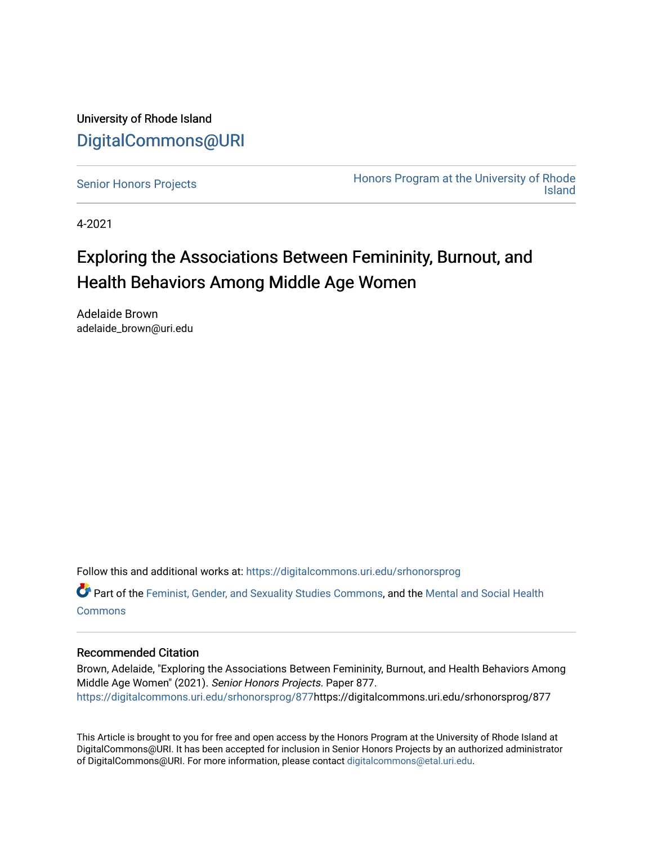University of Rhode Island [DigitalCommons@URI](https://digitalcommons.uri.edu/) 

[Senior Honors Projects](https://digitalcommons.uri.edu/srhonorsprog) **Honors Program at the University of Rhode Island** 

4-2021

# Exploring the Associations Between Femininity, Burnout, and Health Behaviors Among Middle Age Women

Adelaide Brown adelaide\_brown@uri.edu

Follow this and additional works at: [https://digitalcommons.uri.edu/srhonorsprog](https://digitalcommons.uri.edu/srhonorsprog?utm_source=digitalcommons.uri.edu%2Fsrhonorsprog%2F877&utm_medium=PDF&utm_campaign=PDFCoverPages)

**C** Part of the [Feminist, Gender, and Sexuality Studies Commons](http://network.bepress.com/hgg/discipline/559?utm_source=digitalcommons.uri.edu%2Fsrhonorsprog%2F877&utm_medium=PDF&utm_campaign=PDFCoverPages), and the [Mental and Social Health](http://network.bepress.com/hgg/discipline/709?utm_source=digitalcommons.uri.edu%2Fsrhonorsprog%2F877&utm_medium=PDF&utm_campaign=PDFCoverPages) **[Commons](http://network.bepress.com/hgg/discipline/709?utm_source=digitalcommons.uri.edu%2Fsrhonorsprog%2F877&utm_medium=PDF&utm_campaign=PDFCoverPages)** 

## Recommended Citation

Brown, Adelaide, "Exploring the Associations Between Femininity, Burnout, and Health Behaviors Among Middle Age Women" (2021). Senior Honors Projects. Paper 877. [https://digitalcommons.uri.edu/srhonorsprog/877](https://digitalcommons.uri.edu/srhonorsprog/877?utm_source=digitalcommons.uri.edu%2Fsrhonorsprog%2F877&utm_medium=PDF&utm_campaign=PDFCoverPages)https://digitalcommons.uri.edu/srhonorsprog/877

This Article is brought to you for free and open access by the Honors Program at the University of Rhode Island at DigitalCommons@URI. It has been accepted for inclusion in Senior Honors Projects by an authorized administrator of DigitalCommons@URI. For more information, please contact [digitalcommons@etal.uri.edu](mailto:digitalcommons@etal.uri.edu).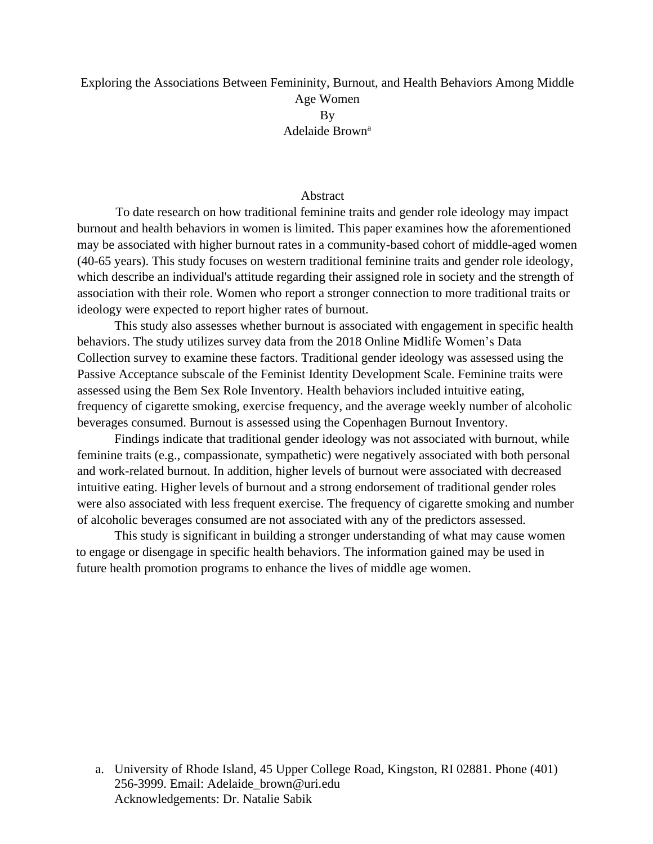## Exploring the Associations Between Femininity, Burnout, and Health Behaviors Among Middle Age Women By Adelaide Brown<sup>a</sup>

#### Abstract

To date research on how traditional feminine traits and gender role ideology may impact burnout and health behaviors in women is limited. This paper examines how the aforementioned may be associated with higher burnout rates in a community-based cohort of middle-aged women (40-65 years). This study focuses on western traditional feminine traits and gender role ideology, which describe an individual's attitude regarding their assigned role in society and the strength of association with their role. Women who report a stronger connection to more traditional traits or ideology were expected to report higher rates of burnout.

This study also assesses whether burnout is associated with engagement in specific health behaviors. The study utilizes survey data from the 2018 Online Midlife Women's Data Collection survey to examine these factors. Traditional gender ideology was assessed using the Passive Acceptance subscale of the Feminist Identity Development Scale. Feminine traits were assessed using the Bem Sex Role Inventory. Health behaviors included intuitive eating, frequency of cigarette smoking, exercise frequency, and the average weekly number of alcoholic beverages consumed. Burnout is assessed using the Copenhagen Burnout Inventory.

Findings indicate that traditional gender ideology was not associated with burnout, while feminine traits (e.g., compassionate, sympathetic) were negatively associated with both personal and work-related burnout. In addition, higher levels of burnout were associated with decreased intuitive eating. Higher levels of burnout and a strong endorsement of traditional gender roles were also associated with less frequent exercise. The frequency of cigarette smoking and number of alcoholic beverages consumed are not associated with any of the predictors assessed.

This study is significant in building a stronger understanding of what may cause women to engage or disengage in specific health behaviors. The information gained may be used in future health promotion programs to enhance the lives of middle age women.

a. University of Rhode Island, 45 Upper College Road, Kingston, RI 02881. Phone (401) 256-3999. Email: Adelaide\_brown@uri.edu Acknowledgements: Dr. Natalie Sabik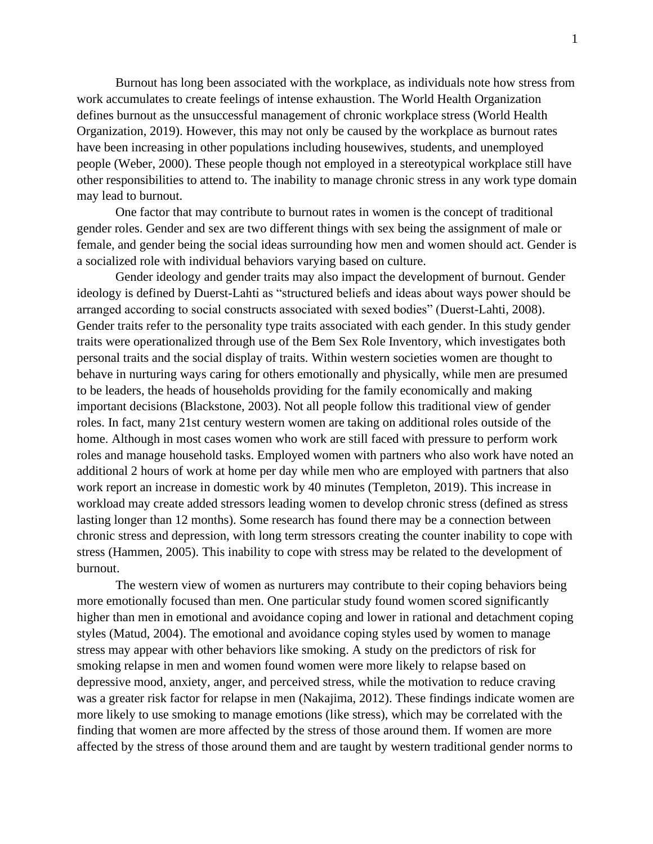Burnout has long been associated with the workplace, as individuals note how stress from work accumulates to create feelings of intense exhaustion. The World Health Organization defines burnout as the unsuccessful management of chronic workplace stress (World Health Organization, 2019). However, this may not only be caused by the workplace as burnout rates have been increasing in other populations including housewives, students, and unemployed people (Weber, 2000). These people though not employed in a stereotypical workplace still have other responsibilities to attend to. The inability to manage chronic stress in any work type domain may lead to burnout.

One factor that may contribute to burnout rates in women is the concept of traditional gender roles. Gender and sex are two different things with sex being the assignment of male or female, and gender being the social ideas surrounding how men and women should act. Gender is a socialized role with individual behaviors varying based on culture.

Gender ideology and gender traits may also impact the development of burnout. Gender ideology is defined by Duerst-Lahti as "structured beliefs and ideas about ways power should be arranged according to social constructs associated with sexed bodies" (Duerst-Lahti, 2008). Gender traits refer to the personality type traits associated with each gender. In this study gender traits were operationalized through use of the Bem Sex Role Inventory, which investigates both personal traits and the social display of traits. Within western societies women are thought to behave in nurturing ways caring for others emotionally and physically, while men are presumed to be leaders, the heads of households providing for the family economically and making important decisions (Blackstone, 2003). Not all people follow this traditional view of gender roles. In fact, many 21st century western women are taking on additional roles outside of the home. Although in most cases women who work are still faced with pressure to perform work roles and manage household tasks. Employed women with partners who also work have noted an additional 2 hours of work at home per day while men who are employed with partners that also work report an increase in domestic work by 40 minutes (Templeton, 2019). This increase in workload may create added stressors leading women to develop chronic stress (defined as stress lasting longer than 12 months). Some research has found there may be a connection between chronic stress and depression, with long term stressors creating the counter inability to cope with stress (Hammen, 2005). This inability to cope with stress may be related to the development of burnout.

The western view of women as nurturers may contribute to their coping behaviors being more emotionally focused than men. One particular study found women scored significantly higher than men in emotional and avoidance coping and lower in rational and detachment coping styles (Matud, 2004). The emotional and avoidance coping styles used by women to manage stress may appear with other behaviors like smoking. A study on the predictors of risk for smoking relapse in men and women found women were more likely to relapse based on depressive mood, anxiety, anger, and perceived stress, while the motivation to reduce craving was a greater risk factor for relapse in men (Nakajima, 2012). These findings indicate women are more likely to use smoking to manage emotions (like stress), which may be correlated with the finding that women are more affected by the stress of those around them. If women are more affected by the stress of those around them and are taught by western traditional gender norms to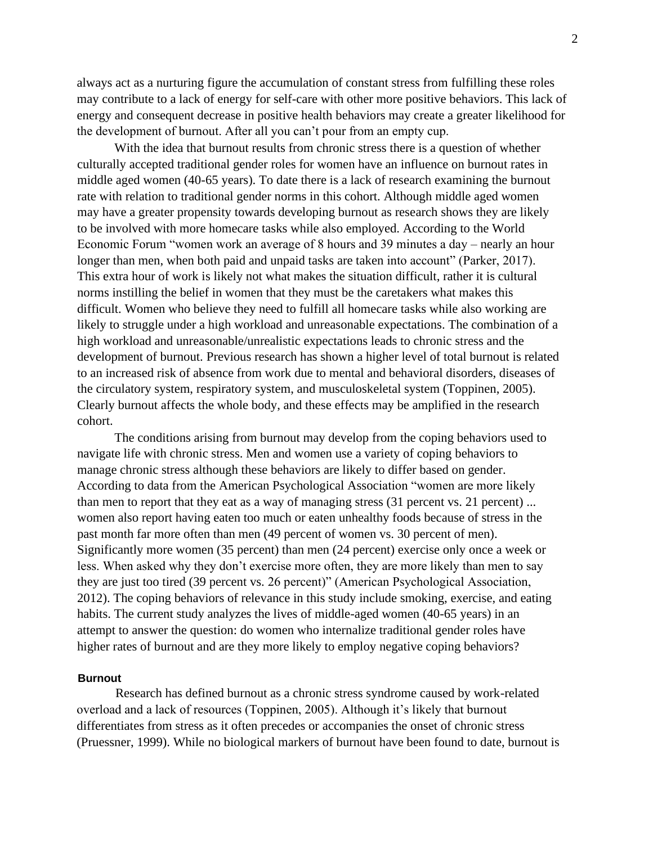always act as a nurturing figure the accumulation of constant stress from fulfilling these roles may contribute to a lack of energy for self-care with other more positive behaviors. This lack of energy and consequent decrease in positive health behaviors may create a greater likelihood for the development of burnout. After all you can't pour from an empty cup.

With the idea that burnout results from chronic stress there is a question of whether culturally accepted traditional gender roles for women have an influence on burnout rates in middle aged women (40-65 years). To date there is a lack of research examining the burnout rate with relation to traditional gender norms in this cohort. Although middle aged women may have a greater propensity towards developing burnout as research shows they are likely to be involved with more homecare tasks while also employed. According to the World Economic Forum "women work an average of 8 hours and 39 minutes a day – nearly an hour longer than men, when both paid and unpaid tasks are taken into account" (Parker, 2017). This extra hour of work is likely not what makes the situation difficult, rather it is cultural norms instilling the belief in women that they must be the caretakers what makes this difficult. Women who believe they need to fulfill all homecare tasks while also working are likely to struggle under a high workload and unreasonable expectations. The combination of a high workload and unreasonable/unrealistic expectations leads to chronic stress and the development of burnout. Previous research has shown a higher level of total burnout is related to an increased risk of absence from work due to mental and behavioral disorders, diseases of the circulatory system, respiratory system, and musculoskeletal system (Toppinen, 2005). Clearly burnout affects the whole body, and these effects may be amplified in the research cohort.

The conditions arising from burnout may develop from the coping behaviors used to navigate life with chronic stress. Men and women use a variety of coping behaviors to manage chronic stress although these behaviors are likely to differ based on gender. According to data from the American Psychological Association "women are more likely than men to report that they eat as a way of managing stress (31 percent vs. 21 percent) ... women also report having eaten too much or eaten unhealthy foods because of stress in the past month far more often than men (49 percent of women vs. 30 percent of men). Significantly more women (35 percent) than men (24 percent) exercise only once a week or less. When asked why they don't exercise more often, they are more likely than men to say they are just too tired (39 percent vs. 26 percent)" (American Psychological Association, 2012). The coping behaviors of relevance in this study include smoking, exercise, and eating habits. The current study analyzes the lives of middle-aged women (40-65 years) in an attempt to answer the question: do women who internalize traditional gender roles have higher rates of burnout and are they more likely to employ negative coping behaviors?

#### **Burnout**

Research has defined burnout as a chronic stress syndrome caused by work-related overload and a lack of resources (Toppinen, 2005). Although it's likely that burnout differentiates from stress as it often precedes or accompanies the onset of chronic stress (Pruessner, 1999). While no biological markers of burnout have been found to date, burnout is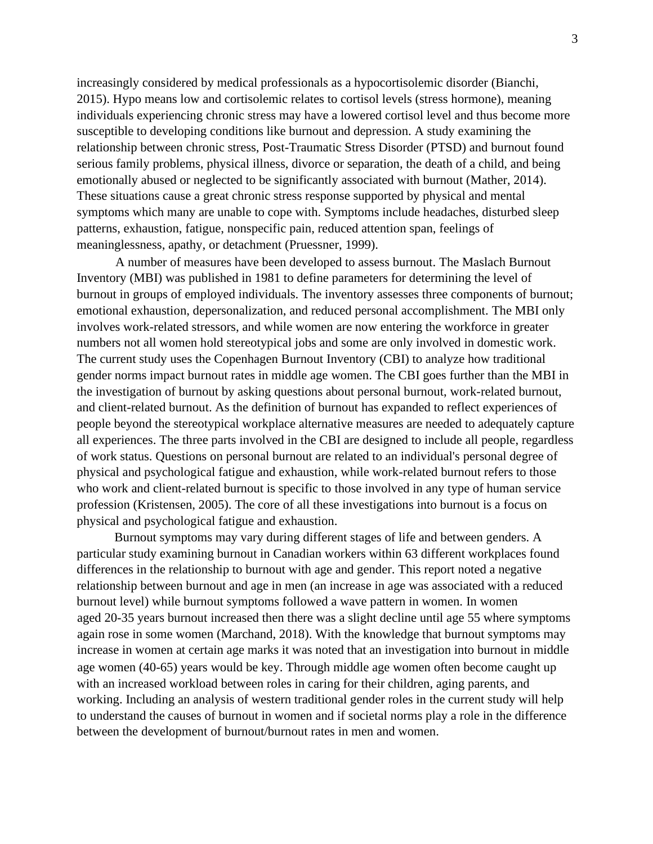increasingly considered by medical professionals as a hypocortisolemic disorder (Bianchi, 2015). Hypo means low and cortisolemic relates to cortisol levels (stress hormone), meaning individuals experiencing chronic stress may have a lowered cortisol level and thus become more susceptible to developing conditions like burnout and depression. A study examining the relationship between chronic stress, Post-Traumatic Stress Disorder (PTSD) and burnout found serious family problems, physical illness, divorce or separation, the death of a child, and being emotionally abused or neglected to be significantly associated with burnout (Mather, 2014). These situations cause a great chronic stress response supported by physical and mental symptoms which many are unable to cope with. Symptoms include headaches, disturbed sleep patterns, exhaustion, fatigue, nonspecific pain, reduced attention span, feelings of meaninglessness, apathy, or detachment (Pruessner, 1999).

A number of measures have been developed to assess burnout. The Maslach Burnout Inventory (MBI) was published in 1981 to define parameters for determining the level of burnout in groups of employed individuals. The inventory assesses three components of burnout; emotional exhaustion, depersonalization, and reduced personal accomplishment. The MBI only involves work-related stressors, and while women are now entering the workforce in greater numbers not all women hold stereotypical jobs and some are only involved in domestic work. The current study uses the Copenhagen Burnout Inventory (CBI) to analyze how traditional gender norms impact burnout rates in middle age women. The CBI goes further than the MBI in the investigation of burnout by asking questions about personal burnout, work-related burnout, and client-related burnout. As the definition of burnout has expanded to reflect experiences of people beyond the stereotypical workplace alternative measures are needed to adequately capture all experiences. The three parts involved in the CBI are designed to include all people, regardless of work status. Questions on personal burnout are related to an individual's personal degree of physical and psychological fatigue and exhaustion, while work-related burnout refers to those who work and client-related burnout is specific to those involved in any type of human service profession (Kristensen, 2005). The core of all these investigations into burnout is a focus on physical and psychological fatigue and exhaustion.

Burnout symptoms may vary during different stages of life and between genders. A particular study examining burnout in Canadian workers within 63 different workplaces found differences in the relationship to burnout with age and gender. This report noted a negative relationship between burnout and age in men (an increase in age was associated with a reduced burnout level) while burnout symptoms followed a wave pattern in women. In women aged 20-35 years burnout increased then there was a slight decline until age 55 where symptoms again rose in some women (Marchand, 2018). With the knowledge that burnout symptoms may increase in women at certain age marks it was noted that an investigation into burnout in middle age women (40-65) years would be key. Through middle age women often become caught up with an increased workload between roles in caring for their children, aging parents, and working. Including an analysis of western traditional gender roles in the current study will help to understand the causes of burnout in women and if societal norms play a role in the difference between the development of burnout/burnout rates in men and women.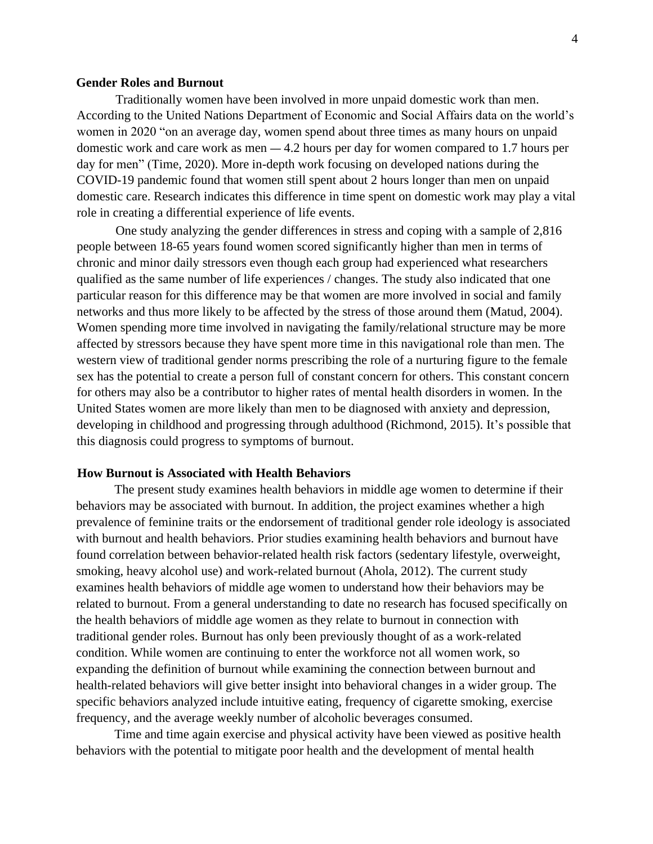#### **Gender Roles and Burnout**

Traditionally women have been involved in more unpaid domestic work than men. According to the United Nations Department of Economic and Social Affairs data on the world's women in 2020 "on an average day, women spend about three times as many hours on unpaid domestic work and care work as men — 4.2 hours per day for women compared to 1.7 hours per day for men" (Time, 2020). More in-depth work focusing on developed nations during the COVID-19 pandemic found that women still spent about 2 hours longer than men on unpaid domestic care. Research indicates this difference in time spent on domestic work may play a vital role in creating a differential experience of life events.

One study analyzing the gender differences in stress and coping with a sample of 2,816 people between 18-65 years found women scored significantly higher than men in terms of chronic and minor daily stressors even though each group had experienced what researchers qualified as the same number of life experiences / changes. The study also indicated that one particular reason for this difference may be that women are more involved in social and family networks and thus more likely to be affected by the stress of those around them (Matud, 2004). Women spending more time involved in navigating the family/relational structure may be more affected by stressors because they have spent more time in this navigational role than men. The western view of traditional gender norms prescribing the role of a nurturing figure to the female sex has the potential to create a person full of constant concern for others. This constant concern for others may also be a contributor to higher rates of mental health disorders in women. In the United States women are more likely than men to be diagnosed with anxiety and depression, developing in childhood and progressing through adulthood (Richmond, 2015). It's possible that this diagnosis could progress to symptoms of burnout.

#### **How Burnout is Associated with Health Behaviors**

The present study examines health behaviors in middle age women to determine if their behaviors may be associated with burnout. In addition, the project examines whether a high prevalence of feminine traits or the endorsement of traditional gender role ideology is associated with burnout and health behaviors. Prior studies examining health behaviors and burnout have found correlation between behavior-related health risk factors (sedentary lifestyle, overweight, smoking, heavy alcohol use) and work-related burnout (Ahola, 2012). The current study examines health behaviors of middle age women to understand how their behaviors may be related to burnout. From a general understanding to date no research has focused specifically on the health behaviors of middle age women as they relate to burnout in connection with traditional gender roles. Burnout has only been previously thought of as a work-related condition. While women are continuing to enter the workforce not all women work, so expanding the definition of burnout while examining the connection between burnout and health-related behaviors will give better insight into behavioral changes in a wider group. The specific behaviors analyzed include intuitive eating, frequency of cigarette smoking, exercise frequency, and the average weekly number of alcoholic beverages consumed.

Time and time again exercise and physical activity have been viewed as positive health behaviors with the potential to mitigate poor health and the development of mental health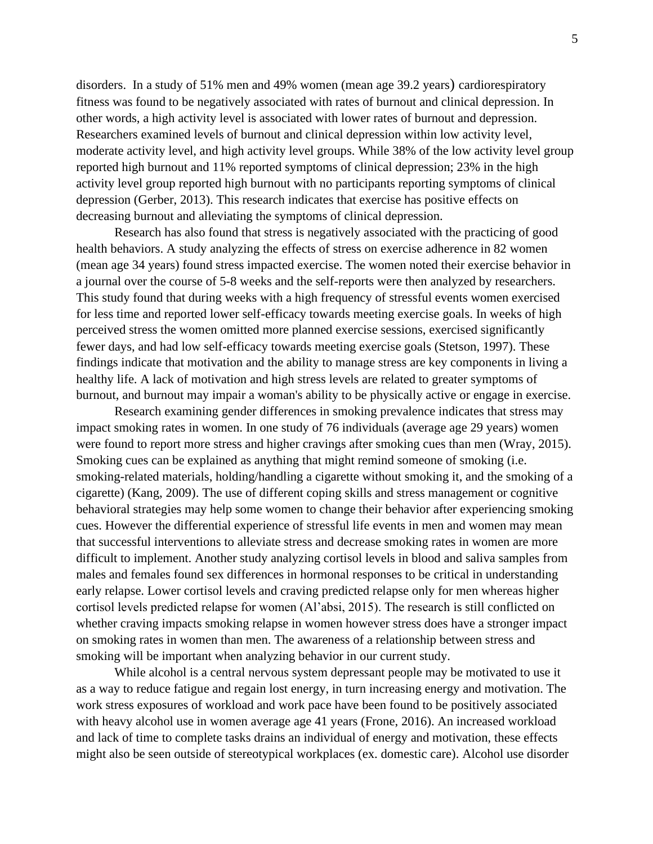disorders. In a study of 51% men and 49% women (mean age 39.2 years) cardiorespiratory fitness was found to be negatively associated with rates of burnout and clinical depression. In other words, a high activity level is associated with lower rates of burnout and depression. Researchers examined levels of burnout and clinical depression within low activity level, moderate activity level, and high activity level groups. While 38% of the low activity level group reported high burnout and 11% reported symptoms of clinical depression; 23% in the high activity level group reported high burnout with no participants reporting symptoms of clinical depression (Gerber, 2013). This research indicates that exercise has positive effects on decreasing burnout and alleviating the symptoms of clinical depression.

Research has also found that stress is negatively associated with the practicing of good health behaviors. A study analyzing the effects of stress on exercise adherence in 82 women (mean age 34 years) found stress impacted exercise. The women noted their exercise behavior in a journal over the course of 5-8 weeks and the self-reports were then analyzed by researchers. This study found that during weeks with a high frequency of stressful events women exercised for less time and reported lower self-efficacy towards meeting exercise goals. In weeks of high perceived stress the women omitted more planned exercise sessions, exercised significantly fewer days, and had low self-efficacy towards meeting exercise goals (Stetson, 1997). These findings indicate that motivation and the ability to manage stress are key components in living a healthy life. A lack of motivation and high stress levels are related to greater symptoms of burnout, and burnout may impair a woman's ability to be physically active or engage in exercise.

Research examining gender differences in smoking prevalence indicates that stress may impact smoking rates in women. In one study of 76 individuals (average age 29 years) women were found to report more stress and higher cravings after smoking cues than men (Wray, 2015). Smoking cues can be explained as anything that might remind someone of smoking (i.e. smoking-related materials, holding/handling a cigarette without smoking it, and the smoking of a cigarette) (Kang, 2009). The use of different coping skills and stress management or cognitive behavioral strategies may help some women to change their behavior after experiencing smoking cues. However the differential experience of stressful life events in men and women may mean that successful interventions to alleviate stress and decrease smoking rates in women are more difficult to implement. Another study analyzing cortisol levels in blood and saliva samples from males and females found sex differences in hormonal responses to be critical in understanding early relapse. Lower cortisol levels and craving predicted relapse only for men whereas higher cortisol levels predicted relapse for women (Al'absi, 2015). The research is still conflicted on whether craving impacts smoking relapse in women however stress does have a stronger impact on smoking rates in women than men. The awareness of a relationship between stress and smoking will be important when analyzing behavior in our current study.

While alcohol is a central nervous system depressant people may be motivated to use it as a way to reduce fatigue and regain lost energy, in turn increasing energy and motivation. The work stress exposures of workload and work pace have been found to be positively associated with heavy alcohol use in women average age 41 years (Frone, 2016). An increased workload and lack of time to complete tasks drains an individual of energy and motivation, these effects might also be seen outside of stereotypical workplaces (ex. domestic care). Alcohol use disorder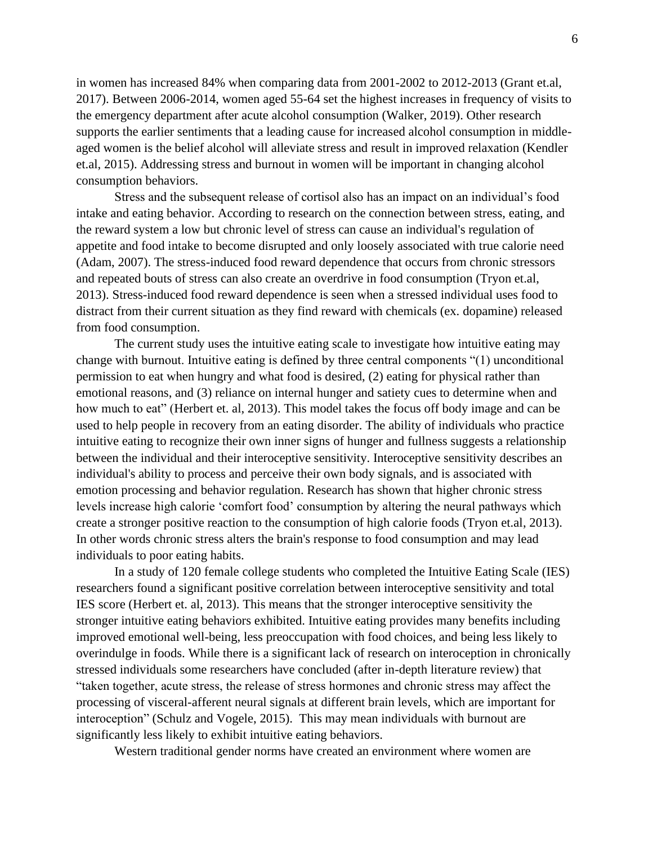in women has increased 84% when comparing data from 2001-2002 to 2012-2013 (Grant et.al, 2017). Between 2006-2014, women aged 55-64 set the highest increases in frequency of visits to the emergency department after acute alcohol consumption (Walker, 2019). Other research supports the earlier sentiments that a leading cause for increased alcohol consumption in middleaged women is the belief alcohol will alleviate stress and result in improved relaxation (Kendler et.al, 2015). Addressing stress and burnout in women will be important in changing alcohol consumption behaviors.

Stress and the subsequent release of cortisol also has an impact on an individual's food intake and eating behavior. According to research on the connection between stress, eating, and the reward system a low but chronic level of stress can cause an individual's regulation of appetite and food intake to become disrupted and only loosely associated with true calorie need (Adam, 2007). The stress-induced food reward dependence that occurs from chronic stressors and repeated bouts of stress can also create an overdrive in food consumption (Tryon et.al, 2013). Stress-induced food reward dependence is seen when a stressed individual uses food to distract from their current situation as they find reward with chemicals (ex. dopamine) released from food consumption.

The current study uses the intuitive eating scale to investigate how intuitive eating may change with burnout. Intuitive eating is defined by three central components "(1) unconditional permission to eat when hungry and what food is desired, (2) eating for physical rather than emotional reasons, and (3) reliance on internal hunger and satiety cues to determine when and how much to eat" (Herbert et. al, 2013). This model takes the focus off body image and can be used to help people in recovery from an eating disorder. The ability of individuals who practice intuitive eating to recognize their own inner signs of hunger and fullness suggests a relationship between the individual and their interoceptive sensitivity. Interoceptive sensitivity describes an individual's ability to process and perceive their own body signals, and is associated with emotion processing and behavior regulation. Research has shown that higher chronic stress levels increase high calorie 'comfort food' consumption by altering the neural pathways which create a stronger positive reaction to the consumption of high calorie foods (Tryon et.al, 2013). In other words chronic stress alters the brain's response to food consumption and may lead individuals to poor eating habits.

In a study of 120 female college students who completed the Intuitive Eating Scale (IES) researchers found a significant positive correlation between interoceptive sensitivity and total IES score (Herbert et. al, 2013). This means that the stronger interoceptive sensitivity the stronger intuitive eating behaviors exhibited. Intuitive eating provides many benefits including improved emotional well-being, less preoccupation with food choices, and being less likely to overindulge in foods. While there is a significant lack of research on interoception in chronically stressed individuals some researchers have concluded (after in-depth literature review) that "taken together, acute stress, the release of stress hormones and chronic stress may affect the processing of visceral-afferent neural signals at different brain levels, which are important for interoception" (Schulz and Vogele, 2015). This may mean individuals with burnout are significantly less likely to exhibit intuitive eating behaviors.

Western traditional gender norms have created an environment where women are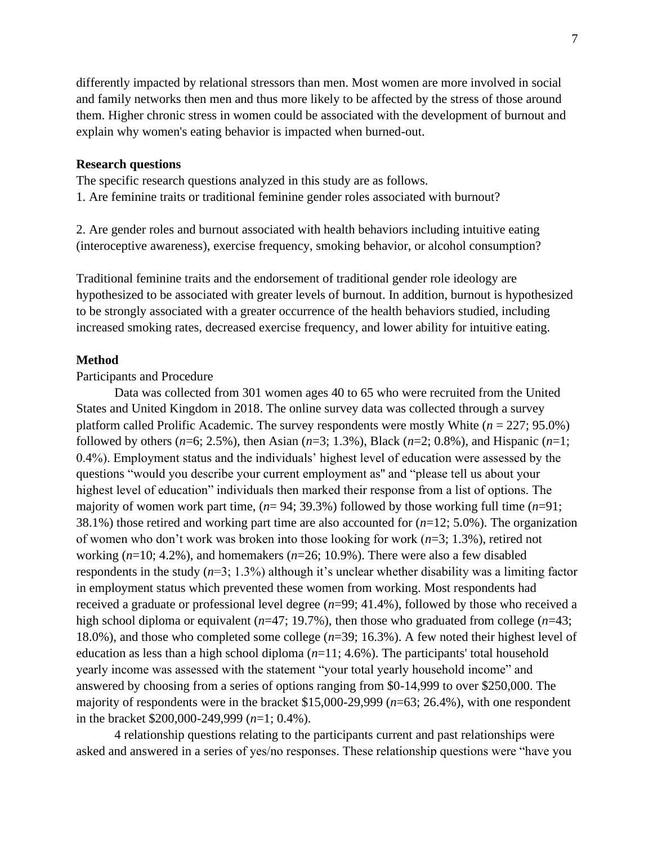differently impacted by relational stressors than men. Most women are more involved in social and family networks then men and thus more likely to be affected by the stress of those around them. Higher chronic stress in women could be associated with the development of burnout and explain why women's eating behavior is impacted when burned-out.

## **Research questions**

The specific research questions analyzed in this study are as follows. 1. Are feminine traits or traditional feminine gender roles associated with burnout?

2. Are gender roles and burnout associated with health behaviors including intuitive eating (interoceptive awareness), exercise frequency, smoking behavior, or alcohol consumption?

Traditional feminine traits and the endorsement of traditional gender role ideology are hypothesized to be associated with greater levels of burnout. In addition, burnout is hypothesized to be strongly associated with a greater occurrence of the health behaviors studied, including increased smoking rates, decreased exercise frequency, and lower ability for intuitive eating.

#### **Method**

## Participants and Procedure

Data was collected from 301 women ages 40 to 65 who were recruited from the United States and United Kingdom in 2018. The online survey data was collected through a survey platform called Prolific Academic. The survey respondents were mostly White (*n* = 227; 95.0%) followed by others (*n*=6; 2.5%), then Asian (*n*=3; 1.3%), Black (*n*=2; 0.8%), and Hispanic (*n*=1; 0.4%). Employment status and the individuals' highest level of education were assessed by the questions "would you describe your current employment as'' and "please tell us about your highest level of education" individuals then marked their response from a list of options. The majority of women work part time, (*n*= 94; 39.3%) followed by those working full time (*n*=91; 38.1%) those retired and working part time are also accounted for (*n*=12; 5.0%). The organization of women who don't work was broken into those looking for work (*n*=3; 1.3%), retired not working (*n*=10; 4.2%), and homemakers (*n*=26; 10.9%). There were also a few disabled respondents in the study (*n*=3; 1.3%) although it's unclear whether disability was a limiting factor in employment status which prevented these women from working. Most respondents had received a graduate or professional level degree (*n*=99; 41.4%), followed by those who received a high school diploma or equivalent (*n*=47; 19.7%), then those who graduated from college (*n*=43; 18.0%), and those who completed some college (*n*=39; 16.3%). A few noted their highest level of education as less than a high school diploma (*n*=11; 4.6%). The participants' total household yearly income was assessed with the statement "your total yearly household income" and answered by choosing from a series of options ranging from \$0-14,999 to over \$250,000. The majority of respondents were in the bracket \$15,000-29,999 (*n*=63; 26.4%), with one respondent in the bracket \$200,000-249,999 (*n*=1; 0.4%).

4 relationship questions relating to the participants current and past relationships were asked and answered in a series of yes/no responses. These relationship questions were "have you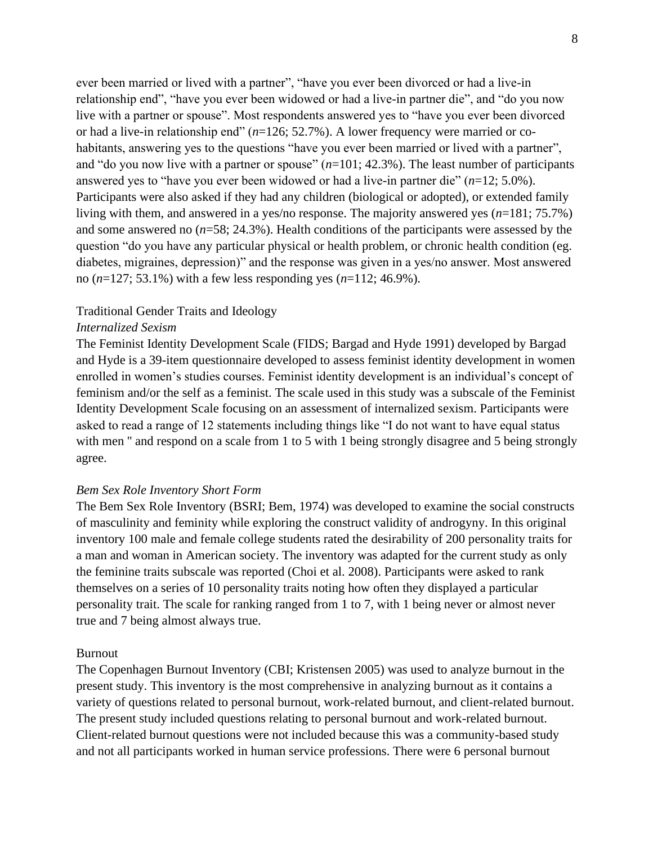ever been married or lived with a partner", "have you ever been divorced or had a live-in relationship end", "have you ever been widowed or had a live-in partner die", and "do you now live with a partner or spouse". Most respondents answered yes to "have you ever been divorced or had a live-in relationship end" (*n*=126; 52.7%). A lower frequency were married or cohabitants, answering yes to the questions "have you ever been married or lived with a partner", and "do you now live with a partner or spouse"  $(n=101; 42.3\%)$ . The least number of participants answered yes to "have you ever been widowed or had a live-in partner die" (*n*=12; 5.0%). Participants were also asked if they had any children (biological or adopted), or extended family living with them, and answered in a yes/no response. The majority answered yes (*n*=181; 75.7%) and some answered no (*n*=58; 24.3%). Health conditions of the participants were assessed by the question "do you have any particular physical or health problem, or chronic health condition (eg. diabetes, migraines, depression)" and the response was given in a yes/no answer. Most answered no (*n*=127; 53.1%) with a few less responding yes (*n*=112; 46.9%).

## Traditional Gender Traits and Ideology

#### *Internalized Sexism*

The Feminist Identity Development Scale (FIDS; Bargad and Hyde 1991) developed by Bargad and Hyde is a 39-item questionnaire developed to assess feminist identity development in women enrolled in women's studies courses. Feminist identity development is an individual's concept of feminism and/or the self as a feminist. The scale used in this study was a subscale of the Feminist Identity Development Scale focusing on an assessment of internalized sexism. Participants were asked to read a range of 12 statements including things like "I do not want to have equal status with men " and respond on a scale from 1 to 5 with 1 being strongly disagree and 5 being strongly agree.

## *Bem Sex Role Inventory Short Form*

The Bem Sex Role Inventory (BSRI; Bem, 1974) was developed to examine the social constructs of masculinity and feminity while exploring the construct validity of androgyny. In this original inventory 100 male and female college students rated the desirability of 200 personality traits for a man and woman in American society. The inventory was adapted for the current study as only the feminine traits subscale was reported (Choi et al. 2008). Participants were asked to rank themselves on a series of 10 personality traits noting how often they displayed a particular personality trait. The scale for ranking ranged from 1 to 7, with 1 being never or almost never true and 7 being almost always true.

#### Burnout

The Copenhagen Burnout Inventory (CBI; Kristensen 2005) was used to analyze burnout in the present study. This inventory is the most comprehensive in analyzing burnout as it contains a variety of questions related to personal burnout, work-related burnout, and client-related burnout. The present study included questions relating to personal burnout and work-related burnout. Client-related burnout questions were not included because this was a community-based study and not all participants worked in human service professions. There were 6 personal burnout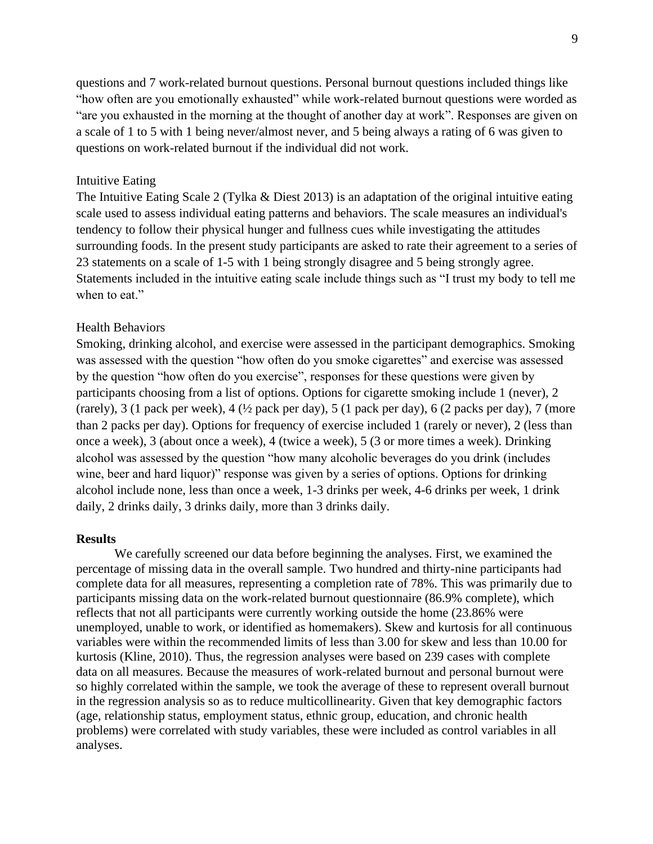questions and 7 work-related burnout questions. Personal burnout questions included things like "how often are you emotionally exhausted" while work-related burnout questions were worded as "are you exhausted in the morning at the thought of another day at work". Responses are given on a scale of 1 to 5 with 1 being never/almost never, and 5 being always a rating of 6 was given to questions on work-related burnout if the individual did not work.

## Intuitive Eating

The Intuitive Eating Scale 2 (Tylka & Diest 2013) is an adaptation of the original intuitive eating scale used to assess individual eating patterns and behaviors. The scale measures an individual's tendency to follow their physical hunger and fullness cues while investigating the attitudes surrounding foods. In the present study participants are asked to rate their agreement to a series of 23 statements on a scale of 1-5 with 1 being strongly disagree and 5 being strongly agree. Statements included in the intuitive eating scale include things such as "I trust my body to tell me when to eat."

## Health Behaviors

Smoking, drinking alcohol, and exercise were assessed in the participant demographics. Smoking was assessed with the question "how often do you smoke cigarettes" and exercise was assessed by the question "how often do you exercise", responses for these questions were given by participants choosing from a list of options. Options for cigarette smoking include 1 (never), 2 (rarely), 3 (1 pack per week), 4 (½ pack per day), 5 (1 pack per day), 6 (2 packs per day), 7 (more than 2 packs per day). Options for frequency of exercise included 1 (rarely or never), 2 (less than once a week), 3 (about once a week), 4 (twice a week), 5 (3 or more times a week). Drinking alcohol was assessed by the question "how many alcoholic beverages do you drink (includes wine, beer and hard liquor)" response was given by a series of options. Options for drinking alcohol include none, less than once a week, 1-3 drinks per week, 4-6 drinks per week, 1 drink daily, 2 drinks daily, 3 drinks daily, more than 3 drinks daily.

## **Results**

We carefully screened our data before beginning the analyses. First, we examined the percentage of missing data in the overall sample. Two hundred and thirty-nine participants had complete data for all measures, representing a completion rate of 78%. This was primarily due to participants missing data on the work-related burnout questionnaire (86.9% complete), which reflects that not all participants were currently working outside the home (23.86% were unemployed, unable to work, or identified as homemakers). Skew and kurtosis for all continuous variables were within the recommended limits of less than 3.00 for skew and less than 10.00 for kurtosis (Kline, 2010). Thus, the regression analyses were based on 239 cases with complete data on all measures. Because the measures of work-related burnout and personal burnout were so highly correlated within the sample, we took the average of these to represent overall burnout in the regression analysis so as to reduce multicollinearity. Given that key demographic factors (age, relationship status, employment status, ethnic group, education, and chronic health problems) were correlated with study variables, these were included as control variables in all analyses.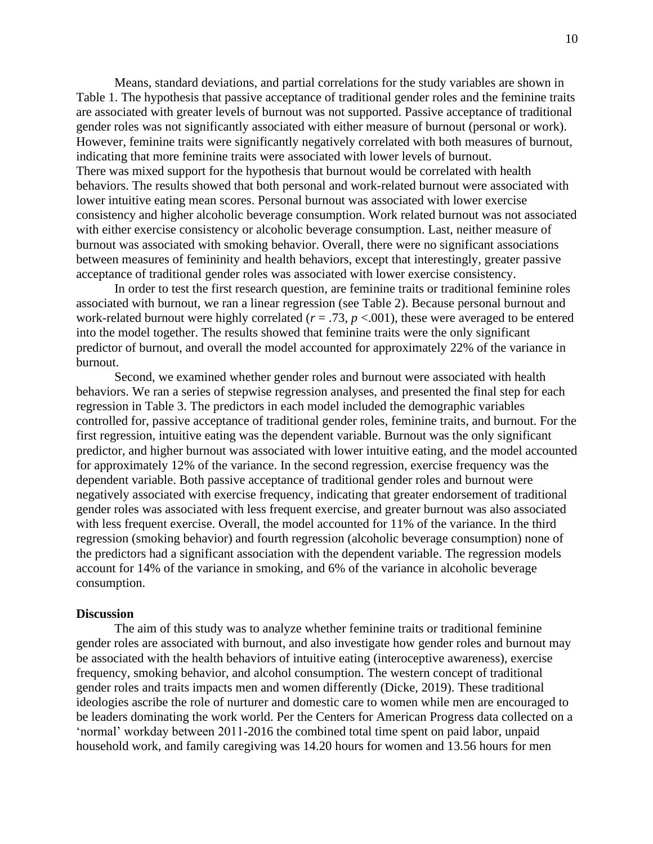Means, standard deviations, and partial correlations for the study variables are shown in Table 1. The hypothesis that passive acceptance of traditional gender roles and the feminine traits are associated with greater levels of burnout was not supported. Passive acceptance of traditional gender roles was not significantly associated with either measure of burnout (personal or work). However, feminine traits were significantly negatively correlated with both measures of burnout, indicating that more feminine traits were associated with lower levels of burnout. There was mixed support for the hypothesis that burnout would be correlated with health behaviors. The results showed that both personal and work-related burnout were associated with lower intuitive eating mean scores. Personal burnout was associated with lower exercise consistency and higher alcoholic beverage consumption. Work related burnout was not associated with either exercise consistency or alcoholic beverage consumption. Last, neither measure of burnout was associated with smoking behavior. Overall, there were no significant associations between measures of femininity and health behaviors, except that interestingly, greater passive acceptance of traditional gender roles was associated with lower exercise consistency.

In order to test the first research question, are feminine traits or traditional feminine roles associated with burnout, we ran a linear regression (see Table 2). Because personal burnout and work-related burnout were highly correlated  $(r = .73, p < .001)$ , these were averaged to be entered into the model together. The results showed that feminine traits were the only significant predictor of burnout, and overall the model accounted for approximately 22% of the variance in burnout.

Second, we examined whether gender roles and burnout were associated with health behaviors. We ran a series of stepwise regression analyses, and presented the final step for each regression in Table 3. The predictors in each model included the demographic variables controlled for, passive acceptance of traditional gender roles, feminine traits, and burnout. For the first regression, intuitive eating was the dependent variable. Burnout was the only significant predictor, and higher burnout was associated with lower intuitive eating, and the model accounted for approximately 12% of the variance. In the second regression, exercise frequency was the dependent variable. Both passive acceptance of traditional gender roles and burnout were negatively associated with exercise frequency, indicating that greater endorsement of traditional gender roles was associated with less frequent exercise, and greater burnout was also associated with less frequent exercise. Overall, the model accounted for 11% of the variance. In the third regression (smoking behavior) and fourth regression (alcoholic beverage consumption) none of the predictors had a significant association with the dependent variable. The regression models account for 14% of the variance in smoking, and 6% of the variance in alcoholic beverage consumption.

#### **Discussion**

The aim of this study was to analyze whether feminine traits or traditional feminine gender roles are associated with burnout, and also investigate how gender roles and burnout may be associated with the health behaviors of intuitive eating (interoceptive awareness), exercise frequency, smoking behavior, and alcohol consumption. The western concept of traditional gender roles and traits impacts men and women differently (Dicke, 2019). These traditional ideologies ascribe the role of nurturer and domestic care to women while men are encouraged to be leaders dominating the work world. Per the Centers for American Progress data collected on a 'normal' workday between 2011-2016 the combined total time spent on paid labor, unpaid household work, and family caregiving was 14.20 hours for women and 13.56 hours for men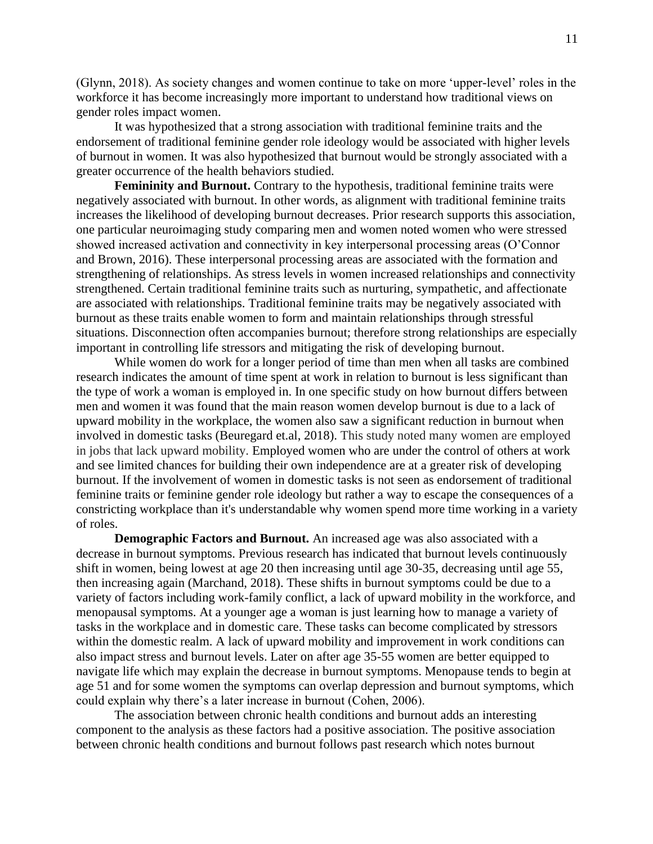(Glynn, 2018). As society changes and women continue to take on more 'upper-level' roles in the workforce it has become increasingly more important to understand how traditional views on gender roles impact women.

It was hypothesized that a strong association with traditional feminine traits and the endorsement of traditional feminine gender role ideology would be associated with higher levels of burnout in women. It was also hypothesized that burnout would be strongly associated with a greater occurrence of the health behaviors studied.

Femininity and Burnout. Contrary to the hypothesis, traditional feminine traits were negatively associated with burnout. In other words, as alignment with traditional feminine traits increases the likelihood of developing burnout decreases. Prior research supports this association, one particular neuroimaging study comparing men and women noted women who were stressed showed increased activation and connectivity in key interpersonal processing areas (O'Connor and Brown, 2016). These interpersonal processing areas are associated with the formation and strengthening of relationships. As stress levels in women increased relationships and connectivity strengthened. Certain traditional feminine traits such as nurturing, sympathetic, and affectionate are associated with relationships. Traditional feminine traits may be negatively associated with burnout as these traits enable women to form and maintain relationships through stressful situations. Disconnection often accompanies burnout; therefore strong relationships are especially important in controlling life stressors and mitigating the risk of developing burnout.

While women do work for a longer period of time than men when all tasks are combined research indicates the amount of time spent at work in relation to burnout is less significant than the type of work a woman is employed in. In one specific study on how burnout differs between men and women it was found that the main reason women develop burnout is due to a lack of upward mobility in the workplace, the women also saw a significant reduction in burnout when involved in domestic tasks (Beuregard et.al, 2018). This study noted many women are employed in jobs that lack upward mobility. Employed women who are under the control of others at work and see limited chances for building their own independence are at a greater risk of developing burnout. If the involvement of women in domestic tasks is not seen as endorsement of traditional feminine traits or feminine gender role ideology but rather a way to escape the consequences of a constricting workplace than it's understandable why women spend more time working in a variety of roles.

**Demographic Factors and Burnout.** An increased age was also associated with a decrease in burnout symptoms. Previous research has indicated that burnout levels continuously shift in women, being lowest at age 20 then increasing until age 30-35, decreasing until age 55, then increasing again (Marchand, 2018). These shifts in burnout symptoms could be due to a variety of factors including work-family conflict, a lack of upward mobility in the workforce, and menopausal symptoms. At a younger age a woman is just learning how to manage a variety of tasks in the workplace and in domestic care. These tasks can become complicated by stressors within the domestic realm. A lack of upward mobility and improvement in work conditions can also impact stress and burnout levels. Later on after age 35-55 women are better equipped to navigate life which may explain the decrease in burnout symptoms. Menopause tends to begin at age 51 and for some women the symptoms can overlap depression and burnout symptoms, which could explain why there's a later increase in burnout (Cohen, 2006).

The association between chronic health conditions and burnout adds an interesting component to the analysis as these factors had a positive association. The positive association between chronic health conditions and burnout follows past research which notes burnout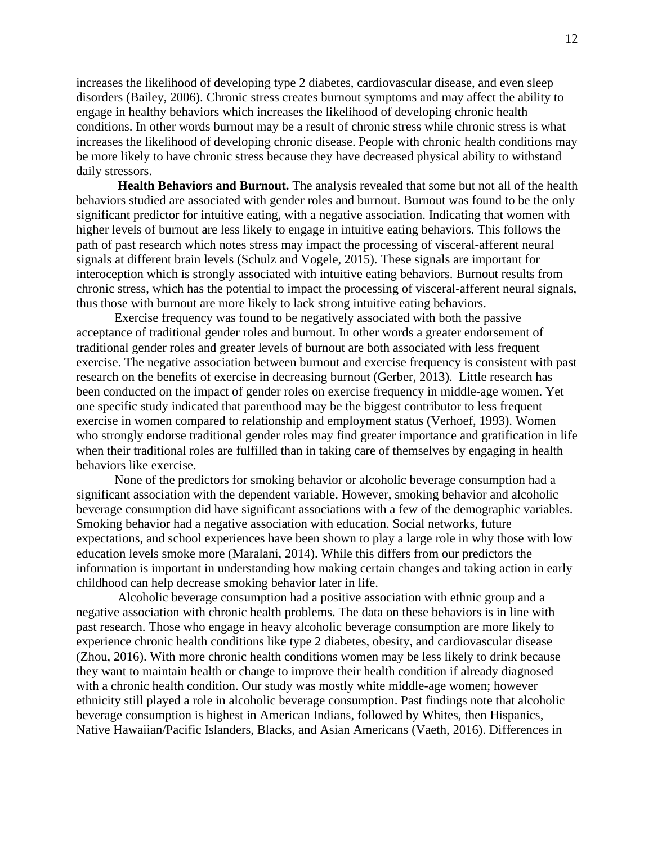increases the likelihood of developing type 2 diabetes, cardiovascular disease, and even sleep disorders (Bailey, 2006). Chronic stress creates burnout symptoms and may affect the ability to engage in healthy behaviors which increases the likelihood of developing chronic health conditions. In other words burnout may be a result of chronic stress while chronic stress is what increases the likelihood of developing chronic disease. People with chronic health conditions may be more likely to have chronic stress because they have decreased physical ability to withstand daily stressors.

**Health Behaviors and Burnout.** The analysis revealed that some but not all of the health behaviors studied are associated with gender roles and burnout. Burnout was found to be the only significant predictor for intuitive eating, with a negative association. Indicating that women with higher levels of burnout are less likely to engage in intuitive eating behaviors. This follows the path of past research which notes stress may impact the processing of visceral-afferent neural signals at different brain levels (Schulz and Vogele, 2015). These signals are important for interoception which is strongly associated with intuitive eating behaviors. Burnout results from chronic stress, which has the potential to impact the processing of visceral-afferent neural signals, thus those with burnout are more likely to lack strong intuitive eating behaviors.

Exercise frequency was found to be negatively associated with both the passive acceptance of traditional gender roles and burnout. In other words a greater endorsement of traditional gender roles and greater levels of burnout are both associated with less frequent exercise. The negative association between burnout and exercise frequency is consistent with past research on the benefits of exercise in decreasing burnout (Gerber, 2013). Little research has been conducted on the impact of gender roles on exercise frequency in middle-age women. Yet one specific study indicated that parenthood may be the biggest contributor to less frequent exercise in women compared to relationship and employment status (Verhoef, 1993). Women who strongly endorse traditional gender roles may find greater importance and gratification in life when their traditional roles are fulfilled than in taking care of themselves by engaging in health behaviors like exercise.

None of the predictors for smoking behavior or alcoholic beverage consumption had a significant association with the dependent variable. However, smoking behavior and alcoholic beverage consumption did have significant associations with a few of the demographic variables. Smoking behavior had a negative association with education. Social networks, future expectations, and school experiences have been shown to play a large role in why those with low education levels smoke more (Maralani, 2014). While this differs from our predictors the information is important in understanding how making certain changes and taking action in early childhood can help decrease smoking behavior later in life.

Alcoholic beverage consumption had a positive association with ethnic group and a negative association with chronic health problems. The data on these behaviors is in line with past research. Those who engage in heavy alcoholic beverage consumption are more likely to experience chronic health conditions like type 2 diabetes, obesity, and cardiovascular disease (Zhou, 2016). With more chronic health conditions women may be less likely to drink because they want to maintain health or change to improve their health condition if already diagnosed with a chronic health condition. Our study was mostly white middle-age women; however ethnicity still played a role in alcoholic beverage consumption. Past findings note that alcoholic beverage consumption is highest in American Indians, followed by Whites, then Hispanics, Native Hawaiian/Pacific Islanders, Blacks, and Asian Americans (Vaeth, 2016). Differences in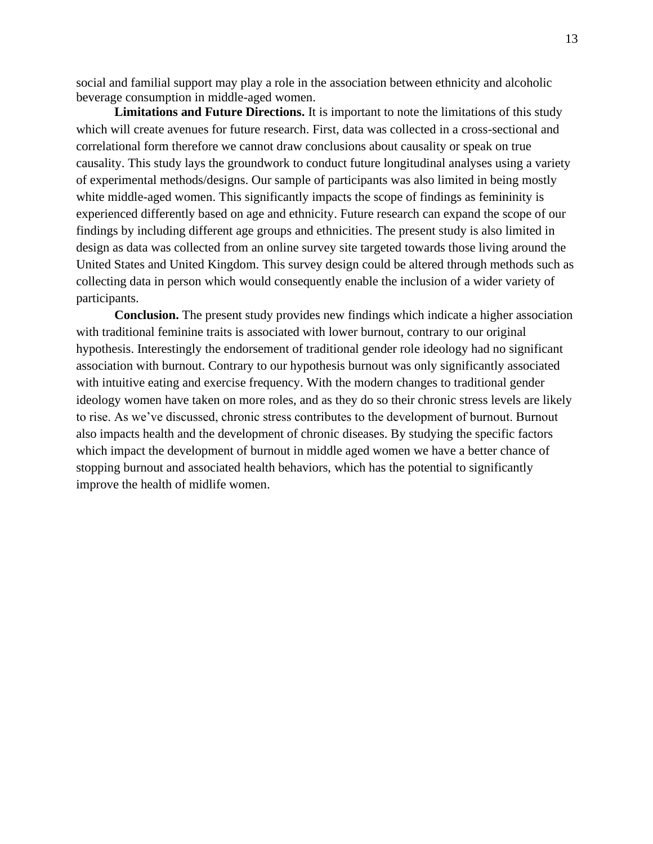social and familial support may play a role in the association between ethnicity and alcoholic beverage consumption in middle-aged women.

**Limitations and Future Directions.** It is important to note the limitations of this study which will create avenues for future research. First, data was collected in a cross-sectional and correlational form therefore we cannot draw conclusions about causality or speak on true causality. This study lays the groundwork to conduct future longitudinal analyses using a variety of experimental methods/designs. Our sample of participants was also limited in being mostly white middle-aged women. This significantly impacts the scope of findings as femininity is experienced differently based on age and ethnicity. Future research can expand the scope of our findings by including different age groups and ethnicities. The present study is also limited in design as data was collected from an online survey site targeted towards those living around the United States and United Kingdom. This survey design could be altered through methods such as collecting data in person which would consequently enable the inclusion of a wider variety of participants.

**Conclusion.** The present study provides new findings which indicate a higher association with traditional feminine traits is associated with lower burnout, contrary to our original hypothesis. Interestingly the endorsement of traditional gender role ideology had no significant association with burnout. Contrary to our hypothesis burnout was only significantly associated with intuitive eating and exercise frequency. With the modern changes to traditional gender ideology women have taken on more roles, and as they do so their chronic stress levels are likely to rise. As we've discussed, chronic stress contributes to the development of burnout. Burnout also impacts health and the development of chronic diseases. By studying the specific factors which impact the development of burnout in middle aged women we have a better chance of stopping burnout and associated health behaviors, which has the potential to significantly improve the health of midlife women.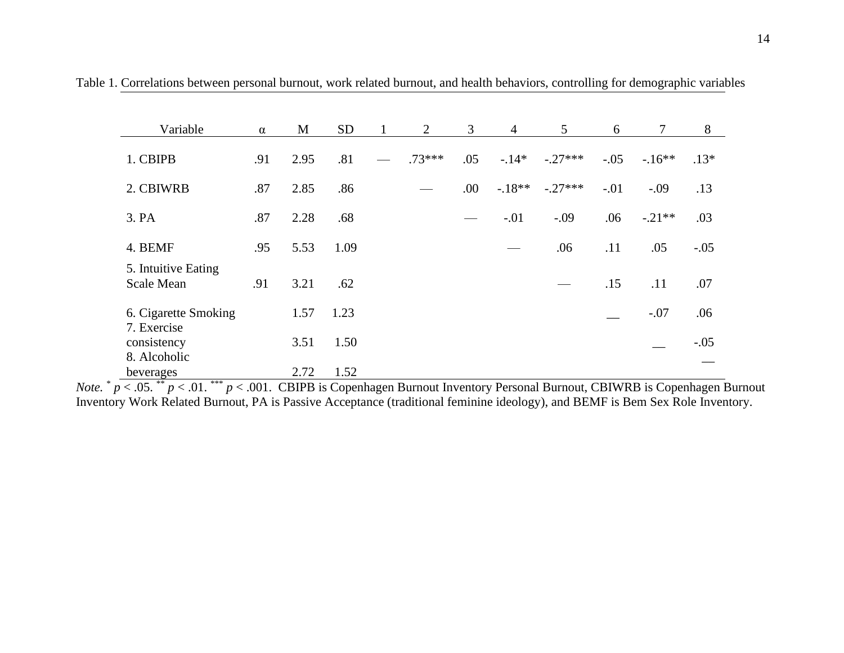| Variable                                 | $\alpha$ | M    | <b>SD</b> | 1 | 2        | 3   | $\overline{4}$ | 5         | 6      | $\tau$   | 8      |
|------------------------------------------|----------|------|-----------|---|----------|-----|----------------|-----------|--------|----------|--------|
| 1. CBIPB                                 | .91      | 2.95 | .81       |   | $.73***$ | .05 | $-14*$         | $-.27***$ | $-.05$ | $-16**$  | $.13*$ |
| 2. CBIWRB                                | .87      | 2.85 | .86       |   |          | .00 | $-.18**$       | $-.27***$ | $-.01$ | $-.09$   | .13    |
| 3. PA                                    | .87      | 2.28 | .68       |   |          |     | $-.01$         | $-.09$    | .06    | $-.21**$ | .03    |
| 4. BEMF                                  | .95      | 5.53 | 1.09      |   |          |     |                | .06       | .11    | .05      | $-.05$ |
| 5. Intuitive Eating<br><b>Scale Mean</b> | .91      | 3.21 | .62       |   |          |     |                |           | .15    | .11      | .07    |
| 6. Cigarette Smoking                     |          | 1.57 | 1.23      |   |          |     |                |           |        | $-.07$   | .06    |
| 7. Exercise<br>consistency               |          | 3.51 | 1.50      |   |          |     |                |           |        |          | $-.05$ |
| 8. Alcoholic<br>beverages                |          | 2.72 | 1.52      |   |          |     |                |           |        |          |        |

Table 1. Correlations between personal burnout, work related burnout, and health behaviors, controlling for demographic variables

*Note.* \* *p* < .05. \*\* *p* < .01. \*\*\* *p* < .001. CBIPB is Copenhagen Burnout Inventory Personal Burnout, CBIWRB is Copenhagen Burnout Inventory Work Related Burnout, PA is Passive Acceptance (traditional feminine ideology), and BEMF is Bem Sex Role Inventory.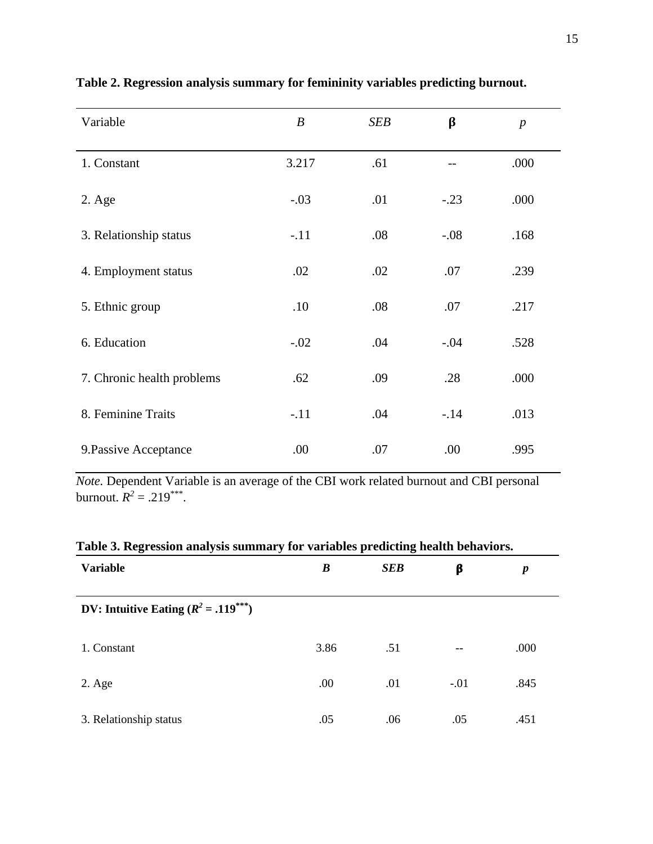| Variable                   | $\boldsymbol{B}$ | <b>SEB</b> | β      | $\boldsymbol{p}$ |
|----------------------------|------------------|------------|--------|------------------|
| 1. Constant                | 3.217            | .61        |        | .000             |
| $2. \text{Age}$            | $-.03$           | .01        | $-.23$ | .000             |
| 3. Relationship status     | $-.11$           | .08        | $-.08$ | .168             |
| 4. Employment status       | .02              | .02        | .07    | .239             |
| 5. Ethnic group            | .10              | .08        | .07    | .217             |
| 6. Education               | $-.02$           | .04        | $-.04$ | .528             |
| 7. Chronic health problems | .62              | .09        | .28    | .000             |
| 8. Feminine Traits         | $-.11$           | .04        | $-14$  | .013             |
| 9. Passive Acceptance      | .00              | .07        | .00    | .995             |

## **Table 2. Regression analysis summary for femininity variables predicting burnout.**

*Note.* Dependent Variable is an average of the CBI work related burnout and CBI personal burnout.  $R^2 = .219^{***}$ .

| Table 5. Regi essibil analysis sunnhal y for variables predicting ficalif behaviors. |      |            |        |                  |  |  |  |  |
|--------------------------------------------------------------------------------------|------|------------|--------|------------------|--|--|--|--|
| <b>Variable</b>                                                                      | B    | <b>SEB</b> | β      | $\boldsymbol{p}$ |  |  |  |  |
| DV: Intuitive Eating $(R^2 = .119^{***})$                                            |      |            |        |                  |  |  |  |  |
| 1. Constant                                                                          | 3.86 | .51        | $- -$  | .000             |  |  |  |  |
| $2. \text{Age}$                                                                      | .00  | .01        | $-.01$ | .845             |  |  |  |  |
| 3. Relationship status                                                               | .05  | .06        | .05    | .451             |  |  |  |  |

## **Table 3. Regression analysis summary for variables predicting health behaviors.**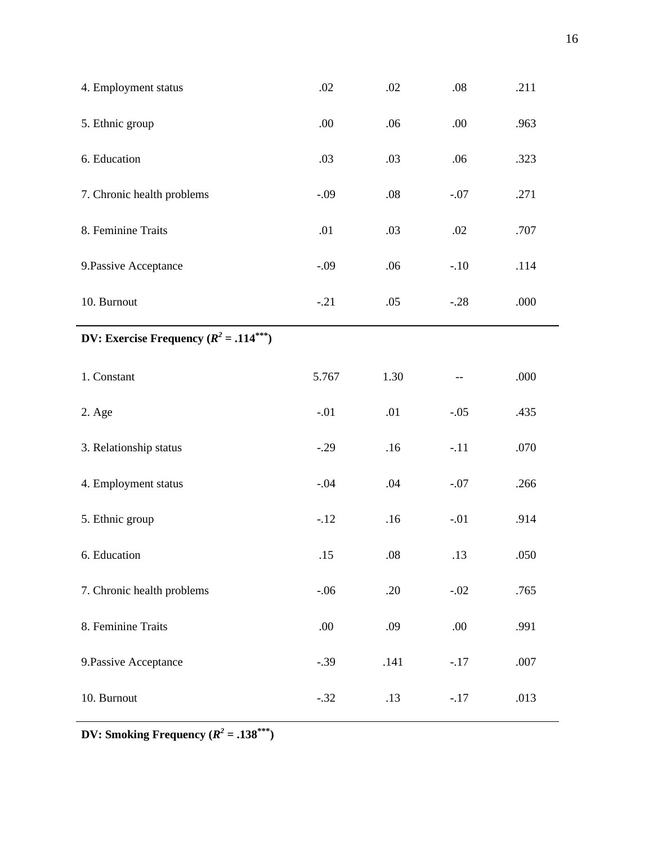| 4. Employment status                        | .02    | .02  | $.08\,$ | .211 |
|---------------------------------------------|--------|------|---------|------|
| 5. Ethnic group                             | .00    | .06  | .00     | .963 |
| 6. Education                                | .03    | .03  | .06     | .323 |
| 7. Chronic health problems                  | $-.09$ | .08  | $-.07$  | .271 |
| 8. Feminine Traits                          | .01    | .03  | .02     | .707 |
| 9. Passive Acceptance                       | $-.09$ | .06  | $-.10$  | .114 |
| 10. Burnout                                 | $-.21$ | .05  | $-.28$  | .000 |
| DV: Exercise Frequency $(R^2 = .114^{***})$ |        |      |         |      |
| 1. Constant                                 | 5.767  | 1.30 |         | .000 |
| 2. Age                                      | $-.01$ | .01  | $-.05$  | .435 |
| 3. Relationship status                      | $-.29$ | .16  | $-.11$  | .070 |
| 4. Employment status                        | $-.04$ | .04  | $-.07$  | .266 |
| 5. Ethnic group                             | $-.12$ | .16  | $-.01$  | .914 |
| 6. Education                                | .15    | .08  | .13     | .050 |
| 7. Chronic health problems                  | $-.06$ | .20  | $-.02$  | .765 |
|                                             |        |      |         |      |
| 8. Feminine Traits                          | .00.   | .09  | .00     | .991 |
| 9. Passive Acceptance                       | $-.39$ | .141 | $-.17$  | .007 |

**DV:** Smoking Frequency ( $R^2 = .138^{***}$ )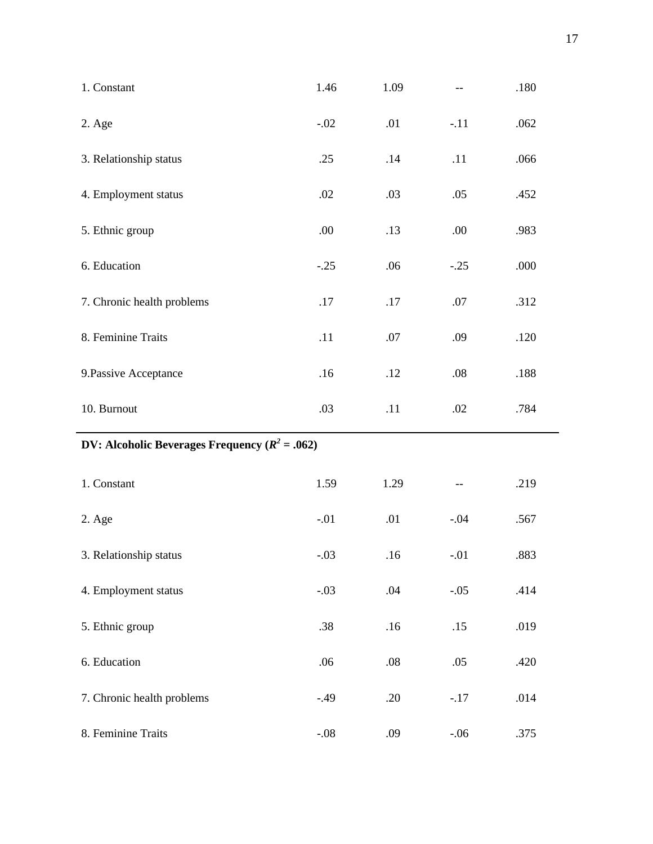| 1. Constant                                               | 1.46    | 1.09    |        | .180 |  |  |  |  |
|-----------------------------------------------------------|---------|---------|--------|------|--|--|--|--|
| 2. Age                                                    | $-.02$  | .01     | $-.11$ | .062 |  |  |  |  |
| 3. Relationship status                                    | .25     | .14     | .11    | .066 |  |  |  |  |
| 4. Employment status                                      | .02     | .03     | .05    | .452 |  |  |  |  |
| 5. Ethnic group                                           | .00.    | .13     | .00.   | .983 |  |  |  |  |
| 6. Education                                              | $-.25$  | .06     | $-.25$ | .000 |  |  |  |  |
| 7. Chronic health problems                                | .17     | .17     | $.07$  | .312 |  |  |  |  |
| 8. Feminine Traits                                        | .11     | .07     | .09    | .120 |  |  |  |  |
| 9. Passive Acceptance                                     | .16     | .12     | .08    | .188 |  |  |  |  |
| 10. Burnout                                               | .03     | .11     | .02    | .784 |  |  |  |  |
| <b>DV:</b> Alcoholic Beverages Frequency ( $R^2 = .062$ ) |         |         |        |      |  |  |  |  |
| 1. Constant                                               | 1.59    | 1.29    |        | .219 |  |  |  |  |
| 2. Age                                                    | $-.01$  | .01     | $-.04$ | .567 |  |  |  |  |
| 3. Relationship status                                    | $-.03$  | .16     | $-.01$ | .883 |  |  |  |  |
| 4. Employment status                                      | $-.03$  | .04     | $-.05$ | .414 |  |  |  |  |
| 5. Ethnic group                                           | .38     | .16     | .15    | .019 |  |  |  |  |
| 6. Education                                              | .06     | $.08\,$ | .05    | .420 |  |  |  |  |
| 7. Chronic health problems                                | $-0.49$ | .20     | $-.17$ | .014 |  |  |  |  |
| 8. Feminine Traits                                        | $-.08$  | .09     | $-.06$ | .375 |  |  |  |  |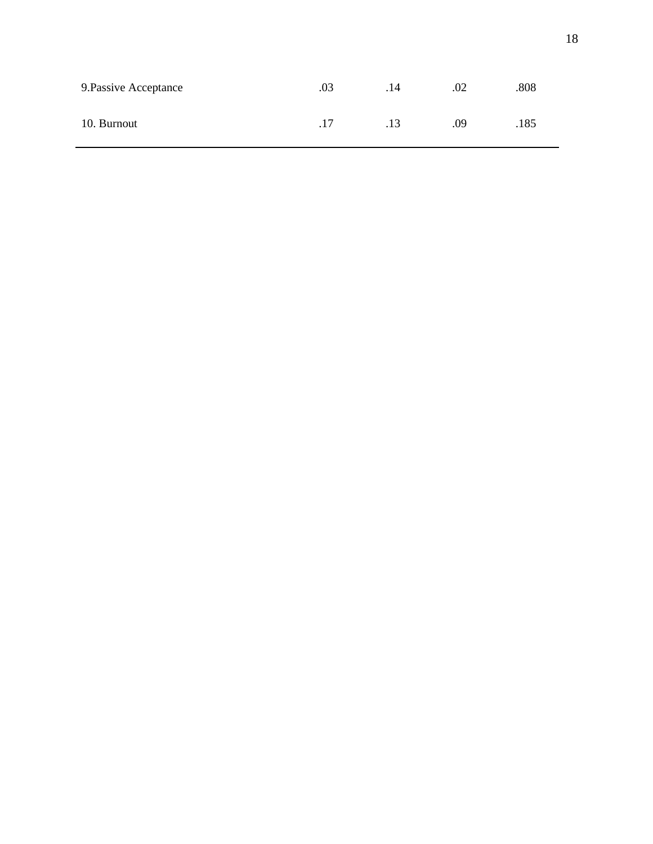| 9. Passive Acceptance | .03 | .14 | .02 | .808 |
|-----------------------|-----|-----|-----|------|
| 10. Burnout           | .17 | .13 | .09 | .185 |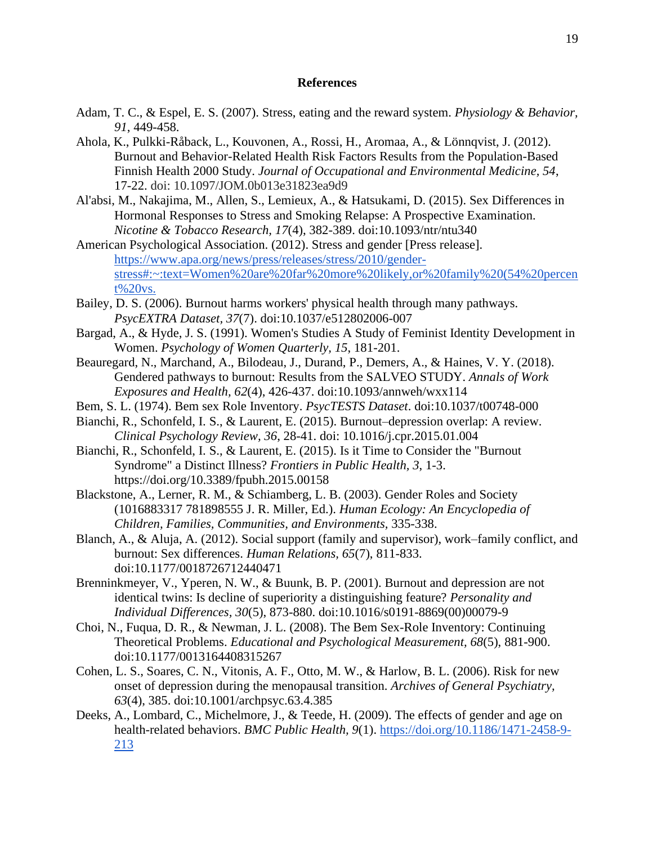#### **References**

- Adam, T. C., & Espel, E. S. (2007). Stress, eating and the reward system. *Physiology & Behavior, 91*, 449-458.
- Ahola, K., Pulkki-Råback, L., Kouvonen, A., Rossi, H., Aromaa, A., & Lönnqvist, J. (2012). Burnout and Behavior-Related Health Risk Factors Results from the Population-Based Finnish Health 2000 Study. *Journal of Occupational and Environmental Medicine, 54*, 17-22. doi: 10.1097/JOM.0b013e31823ea9d9
- Al'absi, M., Nakajima, M., Allen, S., Lemieux, A., & Hatsukami, D. (2015). Sex Differences in Hormonal Responses to Stress and Smoking Relapse: A Prospective Examination. *Nicotine & Tobacco Research, 17*(4), 382-389. doi:10.1093/ntr/ntu340
- American Psychological Association. (2012). Stress and gender [Press release]. [https://www.apa.org/news/press/releases/stress/2010/gender](https://www.apa.org/news/press/releases/stress/2010/gender-stress#:~:text=Women%20are%20far%20more%20likely,or%20family%20(54%20percent%20vs.)[stress#:~:text=Women%20are%20far%20more%20likely,or%20family%20\(54%20percen](https://www.apa.org/news/press/releases/stress/2010/gender-stress#:~:text=Women%20are%20far%20more%20likely,or%20family%20(54%20percent%20vs.) [t%20vs.](https://www.apa.org/news/press/releases/stress/2010/gender-stress#:~:text=Women%20are%20far%20more%20likely,or%20family%20(54%20percent%20vs.)
- Bailey, D. S. (2006). Burnout harms workers' physical health through many pathways. *PsycEXTRA Dataset, 37*(7). doi:10.1037/e512802006-007
- Bargad, A., & Hyde, J. S. (1991). Women's Studies A Study of Feminist Identity Development in Women. *Psychology of Women Quarterly, 15*, 181-201.
- Beauregard, N., Marchand, A., Bilodeau, J., Durand, P., Demers, A., & Haines, V. Y. (2018). Gendered pathways to burnout: Results from the SALVEO STUDY. *Annals of Work Exposures and Health, 62*(4), 426-437. doi:10.1093/annweh/wxx114
- Bem, S. L. (1974). Bem sex Role Inventory. *PsycTESTS Dataset*. doi:10.1037/t00748-000
- Bianchi, R., Schonfeld, I. S., & Laurent, E. (2015). Burnout–depression overlap: A review. *Clinical Psychology Review, 36*, 28-41. doi: 10.1016/j.cpr.2015.01.004
- Bianchi, R., Schonfeld, I. S., & Laurent, E. (2015). Is it Time to Consider the "Burnout Syndrome" a Distinct Illness? *Frontiers in Public Health, 3*, 1-3. https://doi.org/10.3389/fpubh.2015.00158
- Blackstone, A., Lerner, R. M., & Schiamberg, L. B. (2003). Gender Roles and Society (1016883317 781898555 J. R. Miller, Ed.). *Human Ecology: An Encyclopedia of Children, Families, Communities, and Environments,* 335-338.
- Blanch, A., & Aluja, A. (2012). Social support (family and supervisor), work–family conflict, and burnout: Sex differences. *Human Relations, 65*(7), 811-833. doi:10.1177/0018726712440471
- Brenninkmeyer, V., Yperen, N. W., & Buunk, B. P. (2001). Burnout and depression are not identical twins: Is decline of superiority a distinguishing feature? *Personality and Individual Differences, 30*(5), 873-880. doi:10.1016/s0191-8869(00)00079-9
- Choi, N., Fuqua, D. R., & Newman, J. L. (2008). The Bem Sex-Role Inventory: Continuing Theoretical Problems. *Educational and Psychological Measurement, 68*(5), 881-900. doi:10.1177/0013164408315267
- Cohen, L. S., Soares, C. N., Vitonis, A. F., Otto, M. W., & Harlow, B. L. (2006). Risk for new onset of depression during the menopausal transition. *Archives of General Psychiatry, 63*(4), 385. doi:10.1001/archpsyc.63.4.385
- Deeks, A., Lombard, C., Michelmore, J., & Teede, H. (2009). The effects of gender and age on health-related behaviors. *BMC Public Health, 9*(1). [https://doi.org/10.1186/1471-2458-9-](https://doi.org/10.1186/1471-2458-9-213) [213](https://doi.org/10.1186/1471-2458-9-213)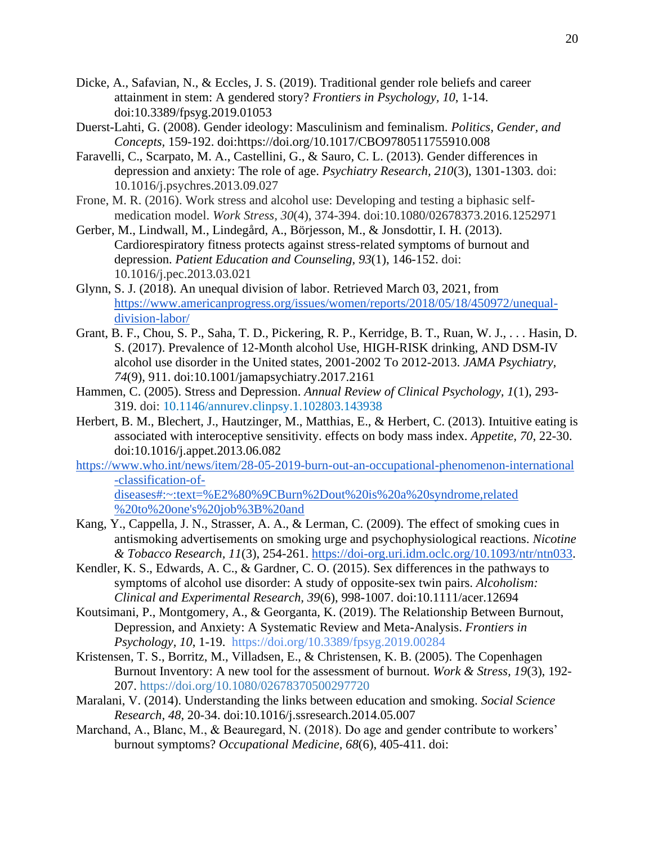- Dicke, A., Safavian, N., & Eccles, J. S. (2019). Traditional gender role beliefs and career attainment in stem: A gendered story? *Frontiers in Psychology, 10*, 1-14. doi:10.3389/fpsyg.2019.01053
- Duerst-Lahti, G. (2008). Gender ideology: Masculinism and feminalism. *Politics, Gender, and Concepts,* 159-192. doi:https://doi.org/10.1017/CBO9780511755910.008
- Faravelli, C., Scarpato, M. A., Castellini, G., & Sauro, C. L. (2013). Gender differences in depression and anxiety: The role of age. *Psychiatry Research, 210*(3), 1301-1303. doi: 10.1016/j.psychres.2013.09.027
- Frone, M. R. (2016). Work stress and alcohol use: Developing and testing a biphasic selfmedication model. *Work Stress, 30*(4), 374-394. doi:10.1080/02678373.2016.1252971
- Gerber, M., Lindwall, M., Lindegård, A., Börjesson, M., & Jonsdottir, I. H. (2013). Cardiorespiratory fitness protects against stress-related symptoms of burnout and depression. *Patient Education and Counseling, 93*(1), 146-152. doi: 10.1016/j.pec.2013.03.021
- Glynn, S. J. (2018). An unequal division of labor. Retrieved March 03, 2021, from [https://www.americanprogress.org/issues/women/reports/2018/05/18/450972/unequal](https://www.americanprogress.org/issues/women/reports/2018/05/18/450972/unequal-division-labor/)[division-labor/](https://www.americanprogress.org/issues/women/reports/2018/05/18/450972/unequal-division-labor/)
- Grant, B. F., Chou, S. P., Saha, T. D., Pickering, R. P., Kerridge, B. T., Ruan, W. J., . . . Hasin, D. S. (2017). Prevalence of 12-Month alcohol Use, HIGH-RISK drinking, AND DSM-IV alcohol use disorder in the United states, 2001-2002 To 2012-2013. *JAMA Psychiatry, 74*(9), 911. doi:10.1001/jamapsychiatry.2017.2161
- Hammen, C. (2005). Stress and Depression. *Annual Review of Clinical Psychology, 1*(1), 293- 319. doi: [10.1146/annurev.clinpsy.1.102803.143938](https://doi.org/10.1146/annurev.clinpsy.1.102803.143938)
- Herbert, B. M., Blechert, J., Hautzinger, M., Matthias, E., & Herbert, C. (2013). Intuitive eating is associated with interoceptive sensitivity. effects on body mass index. *Appetite, 70*, 22-30. doi:10.1016/j.appet.2013.06.082
- https://www.who.int/news/item/28-05-2019-burn-out-an-occupational-phenomenon-international -classification-ofdiseases#:~:text=%E2%80%9CBurn%2Dout%20is%20a%20syndrome,related

%20to%20one's%20job%3B%20and

- Kang, Y., Cappella, J. N., Strasser, A. A., & Lerman, C. (2009). The effect of smoking cues in antismoking advertisements on smoking urge and psychophysiological reactions. *Nicotine & Tobacco Research, 11*(3), 254-261. [https://doi-org.uri.idm.oclc.org/10.1093/ntr/ntn033.](https://doi-org.uri.idm.oclc.org/10.1093/ntr/ntn033)
- Kendler, K. S., Edwards, A. C., & Gardner, C. O. (2015). Sex differences in the pathways to symptoms of alcohol use disorder: A study of opposite-sex twin pairs. *Alcoholism: Clinical and Experimental Research, 39*(6), 998-1007. doi:10.1111/acer.12694
- Koutsimani, P., Montgomery, A., & Georganta, K. (2019). The Relationship Between Burnout, Depression, and Anxiety: A Systematic Review and Meta-Analysis. *Frontiers in Psychology, 10*, 1-19. <https://doi.org/10.3389/fpsyg.2019.00284>
- Kristensen, T. S., Borritz, M., Villadsen, E., & Christensen, K. B. (2005). The Copenhagen Burnout Inventory: A new tool for the assessment of burnout. *Work & Stress, 19*(3), 192- 207. [https://doi.org/10.1080/02678370500297720](https://psycnet.apa.org/doi/10.1080/02678370500297720)
- Maralani, V. (2014). Understanding the links between education and smoking. *Social Science Research, 48*, 20-34. doi:10.1016/j.ssresearch.2014.05.007
- Marchand, A., Blanc, M., & Beauregard, N. (2018). Do age and gender contribute to workers' burnout symptoms? *Occupational Medicine, 68*(6), 405-411. doi: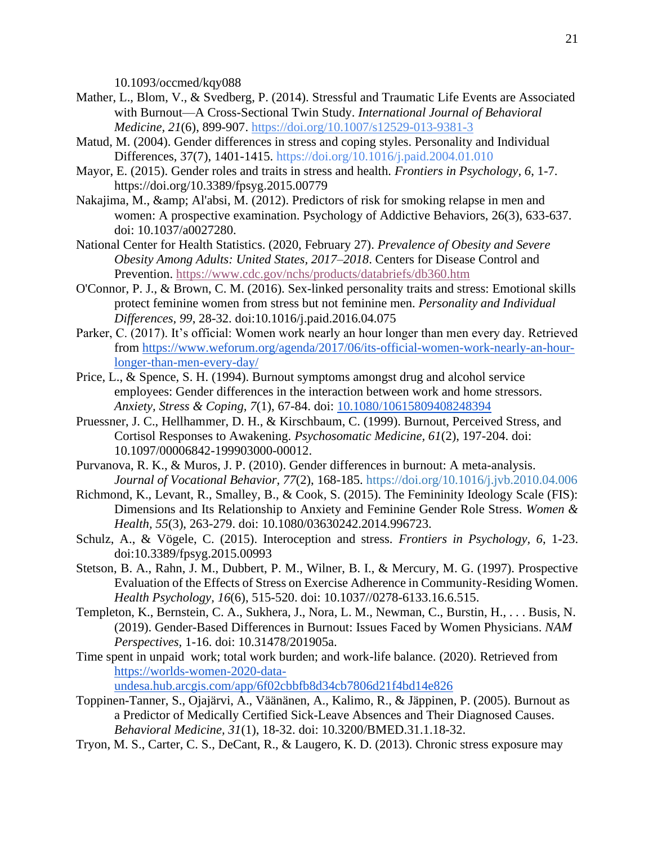10.1093/occmed/kqy088

- Mather, L., Blom, V., & Svedberg, P. (2014). Stressful and Traumatic Life Events are Associated with Burnout—A Cross-Sectional Twin Study. *International Journal of Behavioral Medicine, 21*(6), 899-907.<https://doi.org/10.1007/s12529-013-9381-3>
- Matud, M. (2004). Gender differences in stress and coping styles. Personality and Individual Differences, 37(7), 1401-1415.<https://doi.org/10.1016/j.paid.2004.01.010>
- Mayor, E. (2015). Gender roles and traits in stress and health. *Frontiers in Psychology, 6*, 1-7. <https://doi.org/10.3389/fpsyg.2015.00779>
- Nakajima, M., & amp; Al'absi, M. (2012). Predictors of risk for smoking relapse in men and women: A prospective examination. Psychology of Addictive Behaviors, 26(3), 633-637. doi: 10.1037/a0027280.
- National Center for Health Statistics. (2020, February 27). *Prevalence of Obesity and Severe Obesity Among Adults: United States, 2017–2018*. Centers for Disease Control and Prevention[.](https://www.cdc.gov/nchs/products/databriefs/db360.htm) <https://www.cdc.gov/nchs/products/databriefs/db360.htm>
- O'Connor, P. J., & Brown, C. M. (2016). Sex-linked personality traits and stress: Emotional skills protect feminine women from stress but not feminine men. *Personality and Individual Differences, 99*, 28-32. doi:10.1016/j.paid.2016.04.075
- Parker, C. (2017). It's official: Women work nearly an hour longer than men every day. Retrieved from [https://www.weforum.org/agenda/2017/06/its-official-women-work-nearly-an-hour](https://www.weforum.org/agenda/2017/06/its-official-women-work-nearly-an-hour-longer-than-men-every-day/)[longer-than-men-every-day/](https://www.weforum.org/agenda/2017/06/its-official-women-work-nearly-an-hour-longer-than-men-every-day/)
- Price, L., & Spence, S. H. (1994). Burnout symptoms amongst drug and alcohol service employees: Gender differences in the interaction between work and home stressors. *Anxiety, Stress & Coping, 7*(1), 67-84. doi: [10.1080/10615809408248394](https://www.researchgate.net/deref/http%3A%2F%2Fdx.doi.org%2F10.1080%2F10615809408248394?_sg%5B0%5D=P5LgUk1AvlVP4T7kxjwzxbMFrm0n9Mi0rGD9oBzPxNWMfisDfuzyoNOdyabdmlufxlC896Pmes0xmL9prmdofmXJhA.ySbdu7S6Zr-BR4icI0M1YfazL0fUS7KGyu5W9_Wu6V0YmNVD_tP980j92pg-NlwvkNthVXgWz8OPejO__C9FrA)
- Pruessner, J. C., Hellhammer, D. H., & Kirschbaum, C. (1999). Burnout, Perceived Stress, and Cortisol Responses to Awakening. *Psychosomatic Medicine, 61*(2), 197-204. doi: 10.1097/00006842-199903000-00012.
- Purvanova, R. K., & Muros, J. P. (2010). Gender differences in burnout: A meta-analysis. *Journal of Vocational Behavior, 77*(2), 168-185. [https://doi.org/10.1016/j.jvb.2010.04.006](https://psycnet.apa.org/doi/10.1016/j.jvb.2010.04.006)
- Richmond, K., Levant, R., Smalley, B., & Cook, S. (2015). The Femininity Ideology Scale (FIS): Dimensions and Its Relationship to Anxiety and Feminine Gender Role Stress. *Women & Health, 55*(3), 263-279. doi: 10.1080/03630242.2014.996723.
- Schulz, A., & Vögele, C. (2015). Interoception and stress. *Frontiers in Psychology, 6*, 1-23. doi:10.3389/fpsyg.2015.00993
- Stetson, B. A., Rahn, J. M., Dubbert, P. M., Wilner, B. I., & Mercury, M. G. (1997). Prospective Evaluation of the Effects of Stress on Exercise Adherence in Community-Residing Women. *Health Psychology, 16*(6), 515-520. doi: 10.1037//0278-6133.16.6.515.
- Templeton, K., Bernstein, C. A., Sukhera, J., Nora, L. M., Newman, C., Burstin, H., . . . Busis, N. (2019). Gender-Based Differences in Burnout: Issues Faced by Women Physicians. *NAM Perspectives,* 1-16. doi: 10.31478/201905a.
- Time spent in unpaid work; total work burden; and work-life balance. (2020). Retrieved from [https://worlds-women-2020-data-](https://worlds-women-2020-data-undesa.hub.arcgis.com/app/6f02cbbfb8d34cb7806d21f4bd14e826)

[undesa.hub.arcgis.com/app/6f02cbbfb8d34cb7806d21f4bd14e826](https://worlds-women-2020-data-undesa.hub.arcgis.com/app/6f02cbbfb8d34cb7806d21f4bd14e826)

- Toppinen-Tanner, S., Ojajärvi, A., Väänänen, A., Kalimo, R., & Jäppinen, P. (2005). Burnout as a Predictor of Medically Certified Sick-Leave Absences and Their Diagnosed Causes. *Behavioral Medicine, 31*(1), 18-32. doi: 10.3200/BMED.31.1.18-32.
- Tryon, M. S., Carter, C. S., DeCant, R., & Laugero, K. D. (2013). Chronic stress exposure may